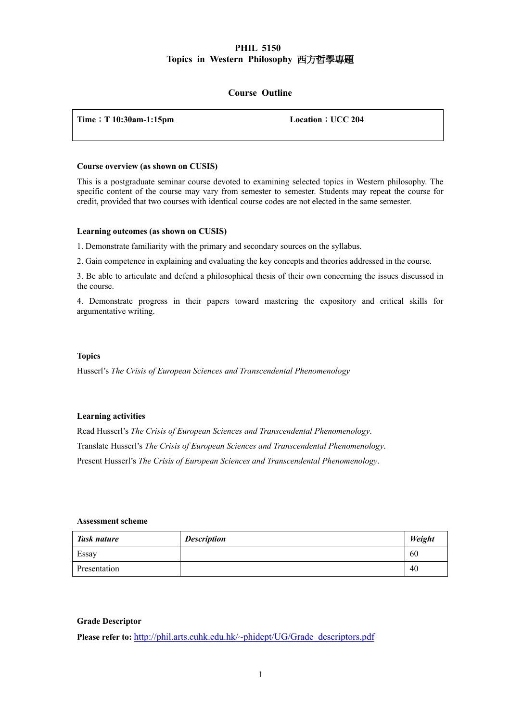# **PHIL 5150 Topics in Western Philosophy** 西方哲學專題

# **Course Outline**

| Time: $T 10:30$ am-1:15pm | Location : UCC 204 |
|---------------------------|--------------------|
|                           |                    |

### **Course overview (as shown on CUSIS)**

This is a postgraduate seminar course devoted to examining selected topics in Western philosophy. The specific content of the course may vary from semester to semester. Students may repeat the course for credit, provided that two courses with identical course codes are not elected in the same semester.

### **Learning outcomes (as shown on CUSIS)**

1. Demonstrate familiarity with the primary and secondary sources on the syllabus.

2. Gain competence in explaining and evaluating the key concepts and theories addressed in the course.

3. Be able to articulate and defend a philosophical thesis of their own concerning the issues discussed in the course.

4. Demonstrate progress in their papers toward mastering the expository and critical skills for argumentative writing.

### **Topics**

Husserl's *The Crisis of European Sciences and Transcendental Phenomenology*

#### **Learning activities**

Read Husserl's *The Crisis of European Sciences and Transcendental Phenomenology*. Translate Husserl's *The Crisis of European Sciences and Transcendental Phenomenology*. Present Husserl's *The Crisis of European Sciences and Transcendental Phenomenology*.

## **Assessment scheme**

| Task nature  | <b>Description</b> | Weight |
|--------------|--------------------|--------|
| Essay        |                    | 60     |
| Presentation |                    | 40     |

## **Grade Descriptor**

**Please refer to:** http://phil.arts.cuhk.edu.hk/~phidept/UG/Grade\_descriptors.pdf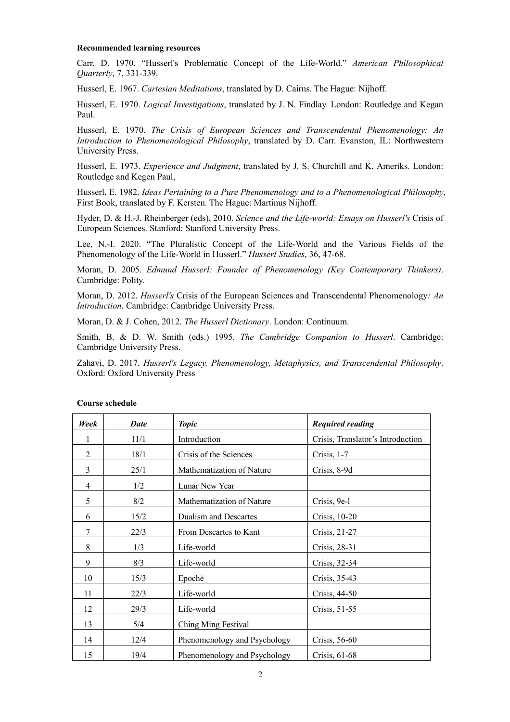#### **Recommended learning resources**

Carr, D. 1970. "Husserl's Problematic Concept of the Life-World." *American Philosophical Quarterly*, 7, 331-339.

Husserl, E. 1967. *Cartesian Meditations*, translated by D. Cairns. The Hague: Nijhoff.

Husserl, E. 1970. *Logical Investigations*, translated by J. N. Findlay. London: Routledge and Kegan Paul.

Husserl, E. 1970. *The Crisis of European Sciences and Transcendental Phenomenology: An Introduction to Phenomenological Philosophy*, translated by D. Carr. Evanston, IL: Northwestern University Press.

Husserl, E. 1973. *Experience and Judgment*, translated by J. S. Churchill and K. Ameriks. London: Routledge and Kegen Paul,

Husserl, E. 1982. *Ideas Pertaining to a Pure Phenomenology and to a Phenomenological Philosophy*, First Book, translated by F. Kersten. The Hague: Martinus Nijhoff.

Hyder, D. & H.-J. Rheinberger (eds), 2010. *Science and the Life-world: Essays on Husserl's* Crisis of European Sciences. Stanford: Stanford University Press.

Lee, N.-I. 2020. "The Pluralistic Concept of the Life-World and the Various Fields of the Phenomenology of the Life-World in Husserl." *Husserl Studies*, 36, 47-68.

Moran, D. 2005. *Edmund Husserl: Founder of Phenomenology (Key Contemporary Thinkers)*. Cambridge: Polity.

Moran, D. 2012. *Husserl's* Crisis of the European Sciences and Transcendental Phenomenology*: An Introduction*. Cambridge: Cambridge University Press.

Moran, D. & J. Cohen, 2012. *The Husserl Dictionary*. London: Continuum.

Smith, B. & D. W. Smith (eds.) 1995. *The Cambridge Companion to Husserl*. Cambridge: Cambridge University Press.

Zahavi, D. 2017. *Husserl's Legacy. Phenomenology, Metaphysics, and Transcendental Philosophy*. Oxford: Oxford University Press

| Week           | <b>Date</b> | <b>Topic</b>                 | <b>Required reading</b>           |
|----------------|-------------|------------------------------|-----------------------------------|
|                | 11/1        | Introduction                 | Crisis, Translator's Introduction |
| $\overline{2}$ | 18/1        | Crisis of the Sciences       | Crisis, 1-7                       |
| 3              | 25/1        | Mathematization of Nature    | Crisis, 8-9d                      |
| 4              | 1/2         | Lunar New Year               |                                   |
| 5              | 8/2         | Mathematization of Nature    | Crisis, 9e-l                      |
| 6              | 15/2        | <b>Dualism and Descartes</b> | Crisis, 10-20                     |
| 7              | 22/3        | From Descartes to Kant       | Crisis, 21-27                     |
| 8              | 1/3         | Life-world                   | Crisis, 28-31                     |
| 9              | 8/3         | Life-world                   | Crisis, 32-34                     |
| 10             | 15/3        | Epochē                       | Crisis, 35-43                     |
| 11             | 22/3        | Life-world                   | Crisis, 44-50                     |
| 12             | 29/3        | Life-world                   | Crisis, 51-55                     |
| 13             | 5/4         | Ching Ming Festival          |                                   |
| 14             | 12/4        | Phenomenology and Psychology | Crisis, 56-60                     |
| 15             | 19/4        | Phenomenology and Psychology | Crisis, 61-68                     |

#### **Course schedule**